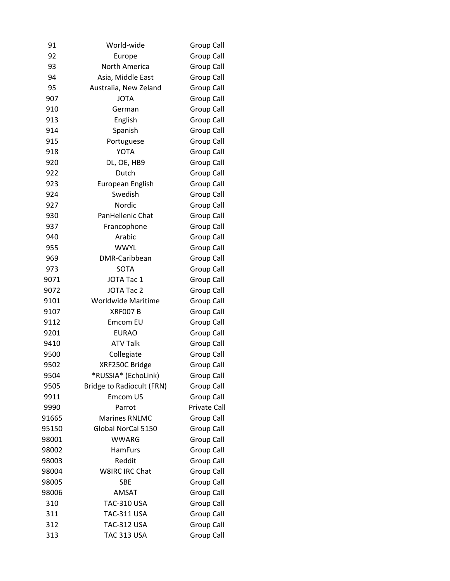| 91    | World-wide                       | Group Call        |
|-------|----------------------------------|-------------------|
| 92    | Europe                           | <b>Group Call</b> |
| 93    | North America                    | <b>Group Call</b> |
| 94    | Asia, Middle East                | <b>Group Call</b> |
| 95    | Australia, New Zeland            | <b>Group Call</b> |
| 907   | <b>JOTA</b>                      | Group Call        |
| 910   | German                           | Group Call        |
| 913   | English                          | Group Call        |
| 914   | Spanish                          | <b>Group Call</b> |
| 915   | Portuguese                       | <b>Group Call</b> |
| 918   | <b>YOTA</b>                      | <b>Group Call</b> |
| 920   | DL, OE, HB9                      | Group Call        |
| 922   | Dutch                            | <b>Group Call</b> |
| 923   | European English                 | <b>Group Call</b> |
| 924   | Swedish                          | Group Call        |
| 927   | Nordic                           | <b>Group Call</b> |
| 930   | PanHellenic Chat                 | <b>Group Call</b> |
| 937   | Francophone                      | <b>Group Call</b> |
| 940   | Arabic                           | <b>Group Call</b> |
| 955   | <b>WWYL</b>                      | <b>Group Call</b> |
| 969   | DMR-Caribbean                    | <b>Group Call</b> |
| 973   | SOTA                             | <b>Group Call</b> |
| 9071  | JOTA Tac 1                       | Group Call        |
| 9072  | <b>JOTA Tac 2</b>                | Group Call        |
| 9101  | <b>Worldwide Maritime</b>        | Group Call        |
| 9107  | <b>XRF007B</b>                   | Group Call        |
| 9112  | Emcom EU                         | Group Call        |
| 9201  | <b>EURAO</b>                     | <b>Group Call</b> |
| 9410  | <b>ATV Talk</b>                  | Group Call        |
| 9500  | Collegiate                       | Group Call        |
| 9502  | XRF250C Bridge                   | <b>Group Call</b> |
| 9504  | *RUSSIA* (EchoLink)              | Group Call        |
| 9505  | <b>Bridge to Radiocult (FRN)</b> | Group Call        |
| 9911  | Emcom US                         | Group Call        |
| 9990  | Parrot                           | Private Call      |
| 91665 | <b>Marines RNLMC</b>             | <b>Group Call</b> |
| 95150 | Global NorCal 5150               | Group Call        |
| 98001 | <b>WWARG</b>                     | Group Call        |
| 98002 | <b>HamFurs</b>                   | <b>Group Call</b> |
| 98003 | Reddit                           | Group Call        |
| 98004 | W8IRC IRC Chat                   | Group Call        |
| 98005 | <b>SBE</b>                       | Group Call        |
| 98006 | <b>AMSAT</b>                     | <b>Group Call</b> |
| 310   | <b>TAC-310 USA</b>               | Group Call        |
| 311   | TAC-311 USA                      | <b>Group Call</b> |
| 312   | <b>TAC-312 USA</b>               | Group Call        |
| 313   | <b>TAC 313 USA</b>               | <b>Group Call</b> |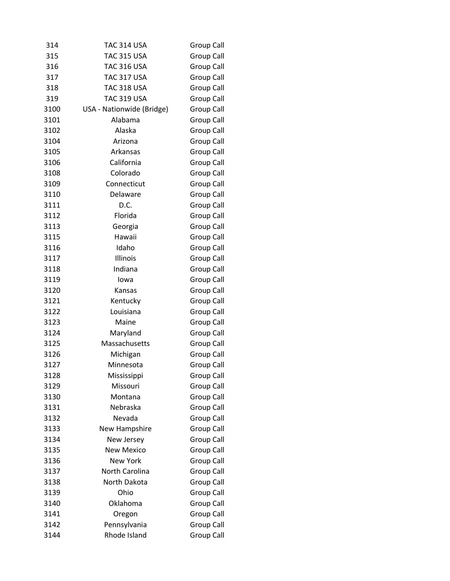| 314  | <b>TAC 314 USA</b>        | Group Call        |
|------|---------------------------|-------------------|
| 315  | <b>TAC 315 USA</b>        | Group Call        |
| 316  | <b>TAC 316 USA</b>        | <b>Group Call</b> |
| 317  | <b>TAC 317 USA</b>        | <b>Group Call</b> |
| 318  | <b>TAC 318 USA</b>        | Group Call        |
| 319  | <b>TAC 319 USA</b>        | <b>Group Call</b> |
| 3100 | USA - Nationwide (Bridge) | <b>Group Call</b> |
| 3101 | Alabama                   | Group Call        |
| 3102 | Alaska                    | <b>Group Call</b> |
| 3104 | Arizona                   | Group Call        |
| 3105 | Arkansas                  | <b>Group Call</b> |
| 3106 | California                | <b>Group Call</b> |
| 3108 | Colorado                  | <b>Group Call</b> |
| 3109 | Connecticut               | <b>Group Call</b> |
| 3110 | Delaware                  | Group Call        |
| 3111 | D.C.                      | Group Call        |
| 3112 | Florida                   | <b>Group Call</b> |
| 3113 | Georgia                   | <b>Group Call</b> |
| 3115 | Hawaii                    | <b>Group Call</b> |
| 3116 | Idaho                     | Group Call        |
| 3117 | Illinois                  | <b>Group Call</b> |
| 3118 | Indiana                   | <b>Group Call</b> |
| 3119 | lowa                      | Group Call        |
| 3120 | Kansas                    | Group Call        |
| 3121 | Kentucky                  | <b>Group Call</b> |
| 3122 | Louisiana                 | Group Call        |
| 3123 | Maine                     | Group Call        |
| 3124 | Maryland                  | <b>Group Call</b> |
| 3125 | Massachusetts             | <b>Group Call</b> |
| 3126 | Michigan                  | Group Call        |
| 3127 | Minnesota                 | Group Call        |
| 3128 | Mississippi               | <b>Group Call</b> |
| 3129 | Missouri                  | <b>Group Call</b> |
| 3130 | Montana                   | <b>Group Call</b> |
| 3131 | Nebraska                  | <b>Group Call</b> |
| 3132 | Nevada                    | <b>Group Call</b> |
| 3133 | New Hampshire             | Group Call        |
| 3134 | New Jersey                | <b>Group Call</b> |
| 3135 | <b>New Mexico</b>         | <b>Group Call</b> |
| 3136 | <b>New York</b>           | Group Call        |
| 3137 | <b>North Carolina</b>     | <b>Group Call</b> |
| 3138 | North Dakota              | <b>Group Call</b> |
| 3139 | Ohio                      | <b>Group Call</b> |
| 3140 | Oklahoma                  | Group Call        |
| 3141 | Oregon                    | Group Call        |
| 3142 | Pennsylvania              | <b>Group Call</b> |
| 3144 | Rhode Island              | Group Call        |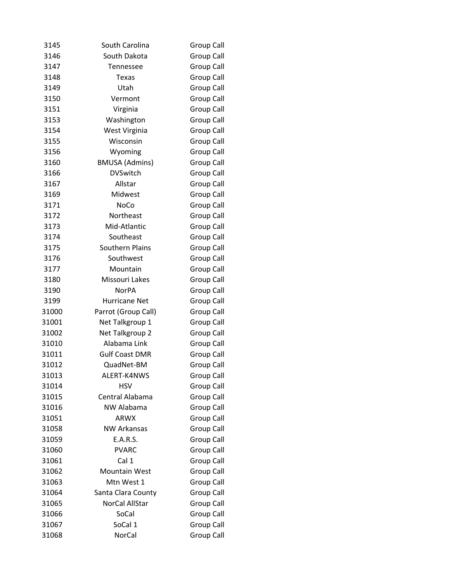| 3145  | South Carolina         | Group Call        |
|-------|------------------------|-------------------|
| 3146  | South Dakota           | <b>Group Call</b> |
| 3147  | Tennessee              | <b>Group Call</b> |
| 3148  | <b>Texas</b>           | <b>Group Call</b> |
| 3149  | Utah                   | <b>Group Call</b> |
| 3150  | Vermont                | <b>Group Call</b> |
| 3151  | Virginia               | <b>Group Call</b> |
| 3153  | Washington             | Group Call        |
| 3154  | West Virginia          | Group Call        |
| 3155  | Wisconsin              | <b>Group Call</b> |
| 3156  | Wyoming                | <b>Group Call</b> |
| 3160  | <b>BMUSA</b> (Admins)  | <b>Group Call</b> |
| 3166  | <b>DVSwitch</b>        | <b>Group Call</b> |
| 3167  | Allstar                | <b>Group Call</b> |
| 3169  | Midwest                | Group Call        |
| 3171  | NoCo                   | <b>Group Call</b> |
| 3172  | Northeast              | <b>Group Call</b> |
| 3173  | Mid-Atlantic           | <b>Group Call</b> |
| 3174  | Southeast              | <b>Group Call</b> |
| 3175  | <b>Southern Plains</b> | Group Call        |
| 3176  | Southwest              | <b>Group Call</b> |
| 3177  | Mountain               | <b>Group Call</b> |
| 3180  | Missouri Lakes         | Group Call        |
| 3190  | <b>NorPA</b>           | <b>Group Call</b> |
| 3199  | Hurricane Net          | Group Call        |
| 31000 | Parrot (Group Call)    | <b>Group Call</b> |
| 31001 | Net Talkgroup 1        | Group Call        |
| 31002 | Net Talkgroup 2        | <b>Group Call</b> |
| 31010 | Alabama Link           | <b>Group Call</b> |
| 31011 | <b>Gulf Coast DMR</b>  | Group Call        |
| 31012 | QuadNet-BM             | Group Call        |
| 31013 | ALERT-K4NWS            | Group Call        |
| 31014 | <b>HSV</b>             | <b>Group Call</b> |
| 31015 | Central Alabama        | <b>Group Call</b> |
| 31016 | <b>NW Alabama</b>      | <b>Group Call</b> |
| 31051 | ARWX                   | <b>Group Call</b> |
| 31058 | <b>NW Arkansas</b>     | Group Call        |
| 31059 | E.A.R.S.               | <b>Group Call</b> |
| 31060 | <b>PVARC</b>           | <b>Group Call</b> |
| 31061 | Cal 1                  | <b>Group Call</b> |
| 31062 | <b>Mountain West</b>   | Group Call        |
| 31063 | Mtn West 1             | <b>Group Call</b> |
| 31064 | Santa Clara County     | <b>Group Call</b> |
| 31065 | NorCal AllStar         | <b>Group Call</b> |
| 31066 | SoCal                  | <b>Group Call</b> |
| 31067 | SoCal 1                | <b>Group Call</b> |
| 31068 | NorCal                 | <b>Group Call</b> |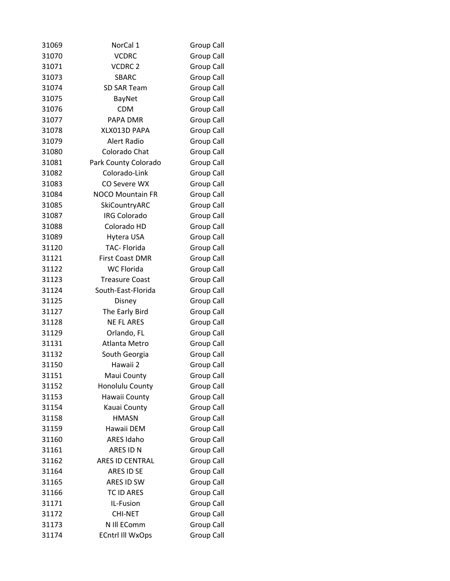| 31069 | NorCal 1                | <b>Group Call</b> |
|-------|-------------------------|-------------------|
| 31070 | <b>VCDRC</b>            | <b>Group Call</b> |
| 31071 | VCDRC <sub>2</sub>      | <b>Group Call</b> |
| 31073 | <b>SBARC</b>            | <b>Group Call</b> |
| 31074 | <b>SD SAR Team</b>      | <b>Group Call</b> |
| 31075 | BayNet                  | Group Call        |
| 31076 | <b>CDM</b>              | <b>Group Call</b> |
| 31077 | PAPA DMR                | Group Call        |
| 31078 | XLX013D PAPA            | Group Call        |
| 31079 | Alert Radio             | <b>Group Call</b> |
| 31080 | Colorado Chat           | Group Call        |
| 31081 | Park County Colorado    | Group Call        |
| 31082 | Colorado-Link           | <b>Group Call</b> |
| 31083 | CO Severe WX            | <b>Group Call</b> |
| 31084 | <b>NOCO Mountain FR</b> | Group Call        |
| 31085 | SkiCountryARC           | <b>Group Call</b> |
| 31087 | <b>IRG Colorado</b>     | <b>Group Call</b> |
| 31088 | Colorado HD             | <b>Group Call</b> |
| 31089 | Hytera USA              | Group Call        |
| 31120 | TAC-Florida             | Group Call        |
| 31121 | <b>First Coast DMR</b>  | <b>Group Call</b> |
| 31122 | <b>WC Florida</b>       | <b>Group Call</b> |
| 31123 | <b>Treasure Coast</b>   | Group Call        |
| 31124 | South-East-Florida      | <b>Group Call</b> |
| 31125 | Disney                  | <b>Group Call</b> |
| 31127 | The Early Bird          | Group Call        |
| 31128 | <b>NE FL ARES</b>       | Group Call        |
| 31129 | Orlando, FL             | <b>Group Call</b> |
| 31131 | Atlanta Metro           | <b>Group Call</b> |
| 31132 | South Georgia           | Group Call        |
| 31150 | Hawaii 2                | Group Call        |
| 31151 | Maui County             | <b>Group Call</b> |
| 31152 | Honolulu County         | <b>Group Call</b> |
| 31153 | Hawaii County           | <b>Group Call</b> |
| 31154 | Kauai County            | <b>Group Call</b> |
| 31158 | <b>HMASN</b>            | <b>Group Call</b> |
| 31159 | Hawaii DEM              | <b>Group Call</b> |
| 31160 | <b>ARES Idaho</b>       | <b>Group Call</b> |
| 31161 | ARES ID N               | <b>Group Call</b> |
| 31162 | ARES ID CENTRAL         | <b>Group Call</b> |
| 31164 | ARES ID SE              | <b>Group Call</b> |
| 31165 | ARES ID SW              | <b>Group Call</b> |
| 31166 | <b>TC ID ARES</b>       | <b>Group Call</b> |
| 31171 | IL-Fusion               | <b>Group Call</b> |
| 31172 | <b>CHI-NET</b>          | <b>Group Call</b> |
| 31173 | N Ill EComm             | <b>Group Call</b> |
| 31174 | <b>ECntrl III WxOps</b> | <b>Group Call</b> |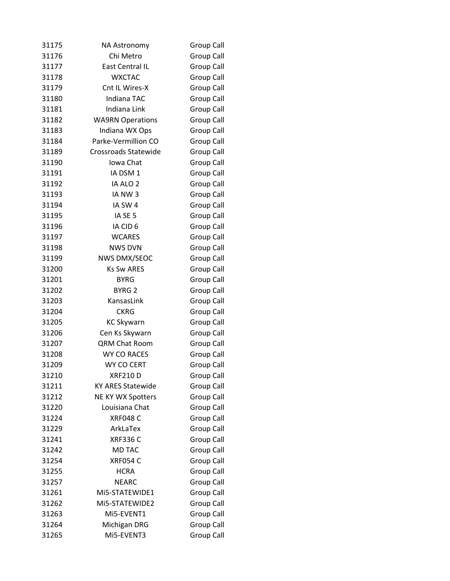| 31175 | NA Astronomy             | Group Call        |
|-------|--------------------------|-------------------|
| 31176 | Chi Metro                | Group Call        |
| 31177 | East Central IL          | Group Call        |
| 31178 | <b>WXCTAC</b>            | Group Call        |
| 31179 | Cnt IL Wires-X           | Group Call        |
| 31180 | Indiana TAC              | Group Call        |
| 31181 | <b>Indiana Link</b>      | Group Call        |
| 31182 | <b>WA9RN Operations</b>  | Group Call        |
| 31183 | Indiana WX Ops           | <b>Group Call</b> |
| 31184 | Parke-Vermillion CO      | Group Call        |
| 31189 | Crossroads Statewide     | Group Call        |
| 31190 | Iowa Chat                | Group Call        |
| 31191 | IA DSM 1                 | Group Call        |
| 31192 | IA ALO 2                 | Group Call        |
| 31193 | IA NW3                   | Group Call        |
| 31194 | IA SW 4                  | Group Call        |
| 31195 | IA SE 5                  | Group Call        |
| 31196 | IA CID 6                 | <b>Group Call</b> |
| 31197 | <b>WCARES</b>            | Group Call        |
| 31198 | <b>NWS DVN</b>           | Group Call        |
| 31199 | <b>NWS DMX/SEOC</b>      | Group Call        |
| 31200 | <b>Ks Sw ARES</b>        | Group Call        |
| 31201 | <b>BYRG</b>              | <b>Group Call</b> |
| 31202 | BYRG <sub>2</sub>        | Group Call        |
| 31203 | KansasLink               | Group Call        |
| 31204 | <b>CKRG</b>              | <b>Group Call</b> |
| 31205 | <b>KC Skywarn</b>        | Group Call        |
| 31206 | Cen Ks Skywarn           | Group Call        |
| 31207 | <b>QRM Chat Room</b>     | Group Call        |
| 31208 | <b>WY CO RACES</b>       | Group Call        |
| 31209 | WY CO CERT               | Group Call        |
| 31210 | <b>XRF210D</b>           | <b>Group Call</b> |
| 31211 | <b>KY ARES Statewide</b> | <b>Group Call</b> |
| 31212 | NE KY WX Spotters        | <b>Group Call</b> |
| 31220 | Louisiana Chat           | <b>Group Call</b> |
| 31224 | <b>XRF048 C</b>          | Group Call        |
| 31229 | ArkLaTex                 | <b>Group Call</b> |
| 31241 | <b>XRF336 C</b>          | Group Call        |
| 31242 | <b>MD TAC</b>            | <b>Group Call</b> |
| 31254 | <b>XRF054 C</b>          | <b>Group Call</b> |
| 31255 | <b>HCRA</b>              | <b>Group Call</b> |
| 31257 | <b>NEARC</b>             | Group Call        |
| 31261 | Mi5-STATEWIDE1           | <b>Group Call</b> |
| 31262 | MI5-STATEWIDE2           | <b>Group Call</b> |
| 31263 | Mi5-EVENT1               | <b>Group Call</b> |
| 31264 | Michigan DRG             | <b>Group Call</b> |
| 31265 | Mi5-EVENT3               | <b>Group Call</b> |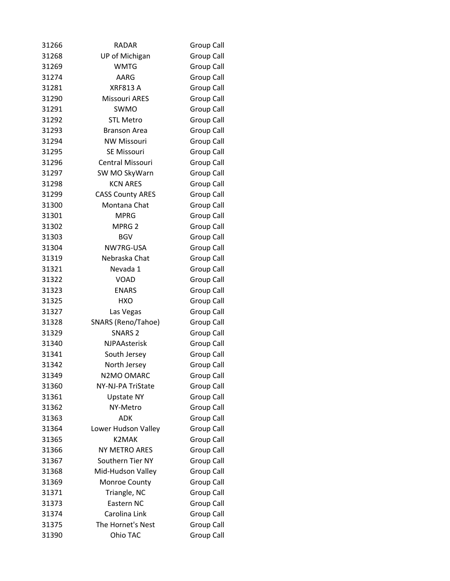| 31266 | <b>RADAR</b>            | Group Call        |
|-------|-------------------------|-------------------|
| 31268 | <b>UP of Michigan</b>   | Group Call        |
| 31269 | <b>WMTG</b>             | Group Call        |
| 31274 | AARG                    | <b>Group Call</b> |
| 31281 | <b>XRF813 A</b>         | Group Call        |
| 31290 | <b>Missouri ARES</b>    | Group Call        |
| 31291 | SWMO                    | <b>Group Call</b> |
| 31292 | <b>STL Metro</b>        | <b>Group Call</b> |
| 31293 | <b>Branson Area</b>     | Group Call        |
| 31294 | <b>NW Missouri</b>      | <b>Group Call</b> |
| 31295 | <b>SE Missouri</b>      | Group Call        |
| 31296 | Central Missouri        | Group Call        |
| 31297 | SW MO SkyWarn           | <b>Group Call</b> |
| 31298 | <b>KCN ARES</b>         | <b>Group Call</b> |
| 31299 | <b>CASS County ARES</b> | Group Call        |
| 31300 | Montana Chat            | Group Call        |
| 31301 | <b>MPRG</b>             | <b>Group Call</b> |
| 31302 | MPRG <sub>2</sub>       | <b>Group Call</b> |
| 31303 | <b>BGV</b>              | <b>Group Call</b> |
| 31304 | NW7RG-USA               | Group Call        |
| 31319 | Nebraska Chat           | <b>Group Call</b> |
| 31321 | Nevada 1                | <b>Group Call</b> |
| 31322 | <b>VOAD</b>             | Group Call        |
| 31323 | <b>ENARS</b>            | Group Call        |
| 31325 | <b>HXO</b>              | <b>Group Call</b> |
| 31327 | Las Vegas               | <b>Group Call</b> |
| 31328 | SNARS (Reno/Tahoe)      | Group Call        |
| 31329 | <b>SNARS 2</b>          | <b>Group Call</b> |
| 31340 | <b>NJPAAsterisk</b>     | Group Call        |
| 31341 | South Jersey            | Group Call        |
| 31342 | North Jersey            | Group Call        |
| 31349 | N2MO OMARC              | Group Call        |
| 31360 | NY-NJ-PA TriState       | Group Call        |
| 31361 | <b>Upstate NY</b>       | <b>Group Call</b> |
| 31362 | NY-Metro                | <b>Group Call</b> |
| 31363 | ADK                     | <b>Group Call</b> |
| 31364 | Lower Hudson Valley     | Group Call        |
| 31365 | K2MAK                   | <b>Group Call</b> |
| 31366 | NY METRO ARES           | <b>Group Call</b> |
| 31367 | Southern Tier NY        | Group Call        |
| 31368 | Mid-Hudson Valley       | <b>Group Call</b> |
| 31369 | Monroe County           | <b>Group Call</b> |
| 31371 | Triangle, NC            | <b>Group Call</b> |
| 31373 | Eastern NC              | Group Call        |
| 31374 | Carolina Link           | <b>Group Call</b> |
| 31375 | The Hornet's Nest       | <b>Group Call</b> |
| 31390 | Ohio TAC                | <b>Group Call</b> |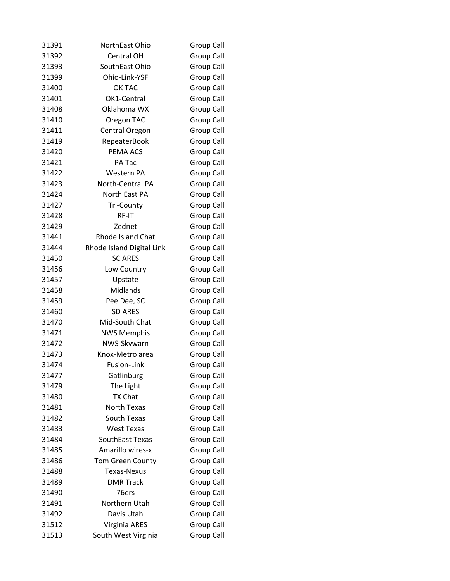| 31391 | NorthEast Ohio            | <b>Group Call</b> |
|-------|---------------------------|-------------------|
| 31392 | <b>Central OH</b>         | <b>Group Call</b> |
| 31393 | SouthEast Ohio            | <b>Group Call</b> |
| 31399 | Ohio-Link-YSF             | <b>Group Call</b> |
| 31400 | OK TAC                    | Group Call        |
| 31401 | OK1-Central               | Group Call        |
| 31408 | Oklahoma WX               | <b>Group Call</b> |
| 31410 | Oregon TAC                | Group Call        |
| 31411 | Central Oregon            | Group Call        |
| 31419 | RepeaterBook              | Group Call        |
| 31420 | PEMA ACS                  | Group Call        |
| 31421 | PA Tac                    | Group Call        |
| 31422 | Western PA                | Group Call        |
| 31423 | North-Central PA          | <b>Group Call</b> |
| 31424 | North East PA             | <b>Group Call</b> |
| 31427 | <b>Tri-County</b>         | <b>Group Call</b> |
| 31428 | RF-IT                     | Group Call        |
| 31429 | Zednet                    | <b>Group Call</b> |
| 31441 | <b>Rhode Island Chat</b>  | Group Call        |
| 31444 | Rhode Island Digital Link | <b>Group Call</b> |
| 31450 | <b>SC ARES</b>            | <b>Group Call</b> |
| 31456 | Low Country               | <b>Group Call</b> |
| 31457 | Upstate                   | Group Call        |
| 31458 | Midlands                  | Group Call        |
| 31459 | Pee Dee, SC               | <b>Group Call</b> |
| 31460 | <b>SD ARES</b>            | <b>Group Call</b> |
| 31470 | Mid-South Chat            | <b>Group Call</b> |
| 31471 | <b>NWS Memphis</b>        | <b>Group Call</b> |
| 31472 | NWS-Skywarn               | Group Call        |
| 31473 | Knox-Metro area           | <b>Group Call</b> |
| 31474 | Fusion-Link               | Group Call        |
| 31477 | Gatlinburg                | <b>Group Call</b> |
| 31479 | The Light                 | <b>Group Call</b> |
| 31480 | <b>TX Chat</b>            | <b>Group Call</b> |
| 31481 | North Texas               | <b>Group Call</b> |
| 31482 | South Texas               | <b>Group Call</b> |
| 31483 | <b>West Texas</b>         | <b>Group Call</b> |
| 31484 | SouthEast Texas           | Group Call        |
| 31485 | Amarillo wires-x          | <b>Group Call</b> |
| 31486 | Tom Green County          | <b>Group Call</b> |
| 31488 | <b>Texas-Nexus</b>        | <b>Group Call</b> |
| 31489 | <b>DMR Track</b>          | <b>Group Call</b> |
| 31490 | 76ers                     | <b>Group Call</b> |
| 31491 | Northern Utah             | <b>Group Call</b> |
| 31492 | Davis Utah                | <b>Group Call</b> |
| 31512 | Virginia ARES             | <b>Group Call</b> |
| 31513 | South West Virginia       | <b>Group Call</b> |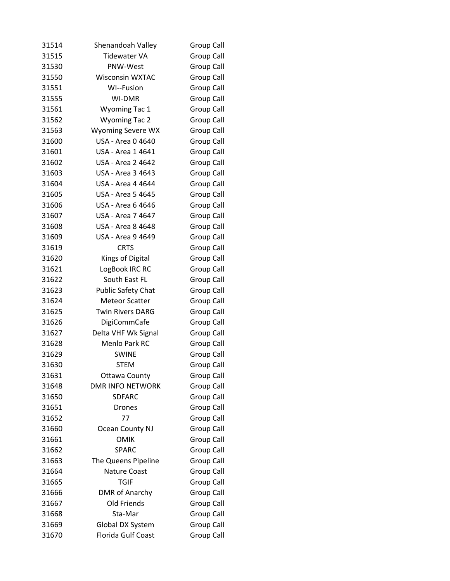| 31514 | Shenandoah Valley         | Group Call        |
|-------|---------------------------|-------------------|
| 31515 | <b>Tidewater VA</b>       | Group Call        |
| 31530 | PNW-West                  | Group Call        |
| 31550 | <b>Wisconsin WXTAC</b>    | Group Call        |
| 31551 | WI--Fusion                | Group Call        |
| 31555 | <b>WI-DMR</b>             | Group Call        |
| 31561 | <b>Wyoming Tac 1</b>      | Group Call        |
| 31562 | <b>Wyoming Tac 2</b>      | <b>Group Call</b> |
| 31563 | <b>Wyoming Severe WX</b>  | Group Call        |
| 31600 | USA - Area 0 4640         | Group Call        |
| 31601 | USA - Area 1 4641         | Group Call        |
| 31602 | USA - Area 2 4642         | Group Call        |
| 31603 | USA - Area 3 4643         | <b>Group Call</b> |
| 31604 | USA - Area 4 4644         | Group Call        |
| 31605 | USA - Area 5 4645         | Group Call        |
| 31606 | USA - Area 6 4646         | Group Call        |
| 31607 | USA - Area 7 4647         | <b>Group Call</b> |
| 31608 | USA - Area 8 4648         | Group Call        |
| 31609 | USA - Area 9 4649         | <b>Group Call</b> |
| 31619 | <b>CRTS</b>               | Group Call        |
| 31620 | Kings of Digital          | Group Call        |
| 31621 | LogBook IRC RC            | Group Call        |
| 31622 | South East FL             | Group Call        |
| 31623 | <b>Public Safety Chat</b> | Group Call        |
| 31624 | <b>Meteor Scatter</b>     | Group Call        |
| 31625 | <b>Twin Rivers DARG</b>   | Group Call        |
| 31626 | DigiCommCafe              | Group Call        |
| 31627 | Delta VHF Wk Signal       | Group Call        |
| 31628 | Menlo Park RC             | <b>Group Call</b> |
| 31629 | <b>SWINE</b>              | Group Call        |
| 31630 | <b>STEM</b>               | <b>Group Call</b> |
| 31631 | <b>Ottawa County</b>      | Group Call        |
| 31648 | <b>DMR INFO NETWORK</b>   | Group Call        |
| 31650 | <b>SDFARC</b>             | <b>Group Call</b> |
| 31651 | <b>Drones</b>             | Group Call        |
| 31652 | 77                        | <b>Group Call</b> |
| 31660 | <b>Ocean County NJ</b>    | Group Call        |
| 31661 | <b>OMIK</b>               | <b>Group Call</b> |
| 31662 | SPARC                     | Group Call        |
| 31663 | The Queens Pipeline       | Group Call        |
| 31664 | <b>Nature Coast</b>       | Group Call        |
| 31665 | <b>TGIF</b>               | Group Call        |
| 31666 | <b>DMR of Anarchy</b>     | <b>Group Call</b> |
| 31667 | Old Friends               | Group Call        |
| 31668 | Sta-Mar                   | Group Call        |
| 31669 | Global DX System          | <b>Group Call</b> |
| 31670 | Florida Gulf Coast        | Group Call        |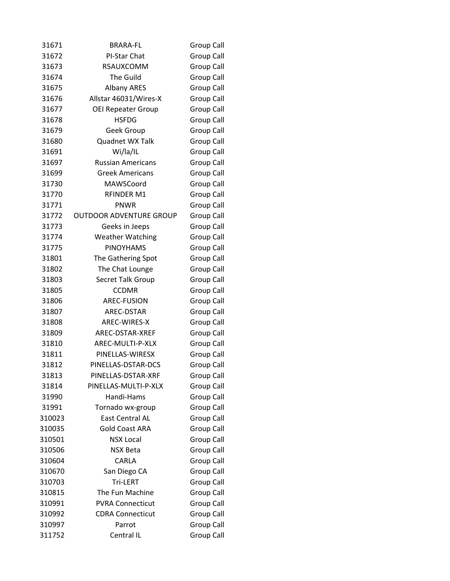| 31671  | <b>BRARA-FL</b>                | Group Call        |
|--------|--------------------------------|-------------------|
| 31672  | PI-Star Chat                   | Group Call        |
| 31673  | R5AUXCOMM                      | <b>Group Call</b> |
| 31674  | <b>The Guild</b>               | <b>Group Call</b> |
| 31675  | <b>Albany ARES</b>             | <b>Group Call</b> |
| 31676  | Allstar 46031/Wires-X          | Group Call        |
| 31677  | <b>OEI Repeater Group</b>      | <b>Group Call</b> |
| 31678  | <b>HSFDG</b>                   | <b>Group Call</b> |
| 31679  | Geek Group                     | <b>Group Call</b> |
| 31680  | Quadnet WX Talk                | <b>Group Call</b> |
| 31691  | Wi/la/IL                       | Group Call        |
| 31697  | <b>Russian Americans</b>       | <b>Group Call</b> |
| 31699  | <b>Greek Americans</b>         | Group Call        |
| 31730  | MAWSCoord                      | <b>Group Call</b> |
| 31770  | <b>RFINDER M1</b>              | Group Call        |
| 31771  | PNWR                           | Group Call        |
| 31772  | <b>OUTDOOR ADVENTURE GROUP</b> | Group Call        |
| 31773  | Geeks in Jeeps                 | Group Call        |
| 31774  | <b>Weather Watching</b>        | Group Call        |
| 31775  | <b>PINOYHAMS</b>               | <b>Group Call</b> |
| 31801  | The Gathering Spot             | Group Call        |
| 31802  | The Chat Lounge                | Group Call        |
| 31803  | Secret Talk Group              | <b>Group Call</b> |
| 31805  | <b>CCDMR</b>                   | <b>Group Call</b> |
| 31806  | <b>AREC-FUSION</b>             | Group Call        |
| 31807  | AREC-DSTAR                     | Group Call        |
| 31808  | AREC-WIRES-X                   | Group Call        |
| 31809  | AREC-DSTAR-XREF                | <b>Group Call</b> |
| 31810  | AREC-MULTI-P-XLX               | Group Call        |
| 31811  | PINELLAS-WIRESX                | <b>Group Call</b> |
| 31812  | PINELLAS-DSTAR-DCS             | <b>Group Call</b> |
| 31813  | PINELLAS-DSTAR-XRF             | <b>Group Call</b> |
| 31814  | PINELLAS-MULTI-P-XLX           | Group Call        |
| 31990  | Handi-Hams                     | Group Call        |
| 31991  | Tornado wx-group               | Group Call        |
| 310023 | <b>East Central AL</b>         | <b>Group Call</b> |
| 310035 | <b>Gold Coast ARA</b>          | Group Call        |
| 310501 | <b>NSX Local</b>               | <b>Group Call</b> |
| 310506 | <b>NSX Beta</b>                | Group Call        |
| 310604 | CARLA                          | Group Call        |
| 310670 | San Diego CA                   | Group Call        |
| 310703 | Tri-LERT                       | Group Call        |
| 310815 | The Fun Machine                | <b>Group Call</b> |
| 310991 | <b>PVRA Connecticut</b>        | Group Call        |
| 310992 | <b>CDRA Connecticut</b>        | Group Call        |
| 310997 | Parrot                         | <b>Group Call</b> |
| 311752 | Central IL                     | <b>Group Call</b> |